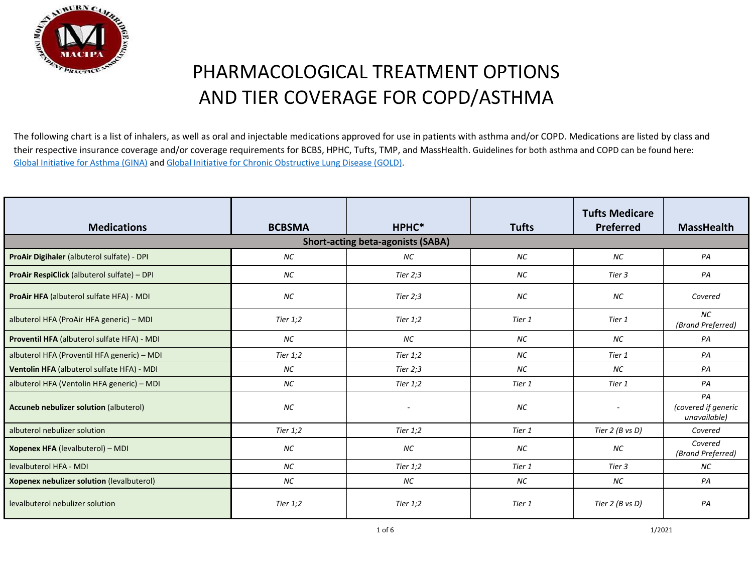

The following chart is a list of inhalers, as well as oral and injectable medications approved for use in patients with asthma and/or COPD. Medications are listed by class and their respective insurance coverage and/or coverage requirements for BCBS, HPHC, Tufts, TMP, and MassHealth. Guidelines for both asthma and COPD can be found here: [Global Initiative for Asthma \(GINA\)](https://ginasthma.org/wp-content/uploads/2020/04/Main-pocket-guide_2020_04_03-final-wms.pdf) and [Global Initiative for Chronic Obstructive Lung Disease \(GOLD\).](https://goldcopd.org/wp-content/uploads/2020/03/GOLD-2020-POCKET-GUIDE-ver1.0_FINAL-WMV.pdf)

| <b>Medications</b>                            | <b>BCBSMA</b> | HPHC*                                    | <b>Tufts</b> | <b>Tufts Medicare</b><br><b>Preferred</b> | <b>MassHealth</b>                         |
|-----------------------------------------------|---------------|------------------------------------------|--------------|-------------------------------------------|-------------------------------------------|
|                                               |               | <b>Short-acting beta-agonists (SABA)</b> |              |                                           |                                           |
| ProAir Digihaler (albuterol sulfate) - DPI    | NC            | <b>NC</b>                                | <b>NC</b>    | <b>NC</b>                                 | PA                                        |
| ProAir RespiClick (albuterol sulfate) - DPI   | NC            | Tier $2;3$                               | <b>NC</b>    | Tier 3                                    | PA                                        |
| ProAir HFA (albuterol sulfate HFA) - MDI      | <b>NC</b>     | Tier 2;3                                 | <b>NC</b>    | <b>NC</b>                                 | Covered                                   |
| albuterol HFA (ProAir HFA generic) - MDI      | Tier $1,2$    | Tier $1,2$                               | Tier 1       | Tier 1                                    | <b>NC</b><br>(Brand Preferred)            |
| Proventil HFA (albuterol sulfate HFA) - MDI   | <b>NC</b>     | <b>NC</b>                                | NC           | <b>NC</b>                                 | PA                                        |
| albuterol HFA (Proventil HFA generic) - MDI   | Tier 1;2      | Tier 1;2                                 | <b>NC</b>    | Tier 1                                    | PA                                        |
| Ventolin HFA (albuterol sulfate HFA) - MDI    | <b>NC</b>     | Tier 2;3                                 | <b>NC</b>    | <b>NC</b>                                 | PA                                        |
| albuterol HFA (Ventolin HFA generic) - MDI    | <b>NC</b>     | Tier $1,2$                               | Tier 1       | Tier 1                                    | PA                                        |
| <b>Accuneb nebulizer solution (albuterol)</b> | <b>NC</b>     | ۰                                        | <b>NC</b>    |                                           | PA<br>(covered if generic<br>unavailable) |
| albuterol nebulizer solution                  | Tier $1,2$    | Tier 1;2                                 | Tier 1       | Tier $2$ (B vs D)                         | Covered                                   |
| <b>Xopenex HFA (levalbuterol) - MDI</b>       | NC            | NC                                       | NC           | <b>NC</b>                                 | Covered<br>(Brand Preferred)              |
| levalbuterol HFA - MDI                        | <b>NC</b>     | Tier 1;2                                 | Tier 1       | Tier 3                                    | NС                                        |
| Xopenex nebulizer solution (levalbuterol)     | NC            | <b>NC</b>                                | NC           | <b>NC</b>                                 | PA                                        |
| levalbuterol nebulizer solution               | Tier 1;2      | Tier 1;2                                 | Tier 1       | Tier $2$ (B vs D)                         | PA                                        |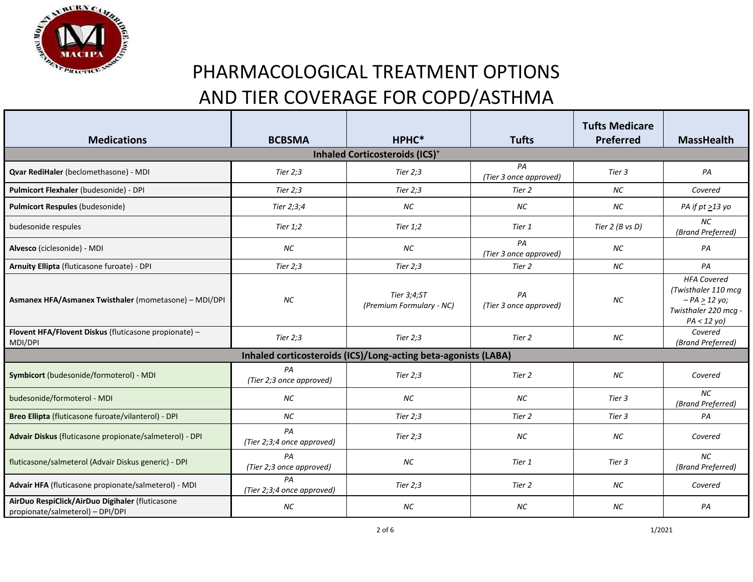

| <b>Medications</b>                                                                  | <b>BCBSMA</b>                    | HPHC*                                                          | <b>Tufts</b>                 | <b>Tufts Medicare</b><br>Preferred | <b>MassHealth</b>                                                                                   |
|-------------------------------------------------------------------------------------|----------------------------------|----------------------------------------------------------------|------------------------------|------------------------------------|-----------------------------------------------------------------------------------------------------|
|                                                                                     |                                  | <b>Inhaled Corticosteroids (ICS)<sup>+</sup></b>               |                              |                                    |                                                                                                     |
| Qvar RediHaler (beclomethasone) - MDI                                               | Tier 2;3                         | Tier 2;3                                                       | PA<br>(Tier 3 once approved) | Tier 3                             | PA                                                                                                  |
| Pulmicort Flexhaler (budesonide) - DPI                                              | Tier 2;3                         | Tier 2;3                                                       | Tier 2                       | <b>NC</b>                          | Covered                                                                                             |
| Pulmicort Respules (budesonide)                                                     | Tier 2;3;4                       | <b>NC</b>                                                      | <b>NC</b>                    | NC                                 | PA if $pt \geq 13$ yo                                                                               |
| budesonide respules                                                                 | Tier $1,2$                       | Tier 1;2                                                       | Tier 1                       | Tier $2(B \text{ vs } D)$          | <b>NC</b><br>(Brand Preferred)                                                                      |
| Alvesco (ciclesonide) - MDI                                                         | <b>NC</b>                        | NC                                                             | PA<br>(Tier 3 once approved) | <b>NC</b>                          | PA                                                                                                  |
| Arnuity Ellipta (fluticasone furoate) - DPI                                         | Tier $2;3$                       | Tier $2;3$                                                     | Tier 2                       | NC                                 | PA                                                                                                  |
| Asmanex HFA/Asmanex Twisthaler (mometasone) - MDI/DPI                               | NC                               | Tier 3;4;ST<br>(Premium Formulary - NC)                        | PA<br>(Tier 3 once approved) | NC                                 | <b>HFA Covered</b><br>(Twisthaler 110 mcg<br>$- PA > 12 y0;$<br>Twisthaler 220 mcg -<br>PA < 12 yo) |
| Flovent HFA/Flovent Diskus (fluticasone propionate) -<br>MDI/DPI                    | Tier $2;3$                       | Tier $2;3$                                                     | Tier 2                       | NC                                 | Covered<br>(Brand Preferred)                                                                        |
|                                                                                     |                                  | Inhaled corticosteroids (ICS)/Long-acting beta-agonists (LABA) |                              |                                    |                                                                                                     |
| Symbicort (budesonide/formoterol) - MDI                                             | PA<br>(Tier 2;3 once approved)   | Tier $2:3$                                                     | Tier 2                       | <b>NC</b>                          | Covered                                                                                             |
| budesonide/formoterol - MDI                                                         | NC                               | NC                                                             | <b>NC</b>                    | Tier 3                             | <b>NC</b><br>(Brand Preferred)                                                                      |
| Breo Ellipta (fluticasone furoate/vilanterol) - DPI                                 | <b>NC</b>                        | Tier 2;3                                                       | Tier 2                       | Tier 3                             | PA                                                                                                  |
| Advair Diskus (fluticasone propionate/salmeterol) - DPI                             | PA<br>(Tier 2;3;4 once approved) | Tier $2:3$                                                     | <b>NC</b>                    | NC                                 | Covered                                                                                             |
| fluticasone/salmeterol (Advair Diskus generic) - DPI                                | PA<br>(Tier 2;3 once approved)   | NC                                                             | Tier 1                       | Tier 3                             | <b>NC</b><br>(Brand Preferred)                                                                      |
| Advair HFA (fluticasone propionate/salmeterol) - MDI                                | PA<br>(Tier 2;3;4 once approved) | Tier 2;3                                                       | Tier 2                       | NC                                 | Covered                                                                                             |
| AirDuo RespiClick/AirDuo Digihaler (fluticasone<br>propionate/salmeterol) - DPI/DPI | NC                               | NC                                                             | NC                           | NC                                 | PA                                                                                                  |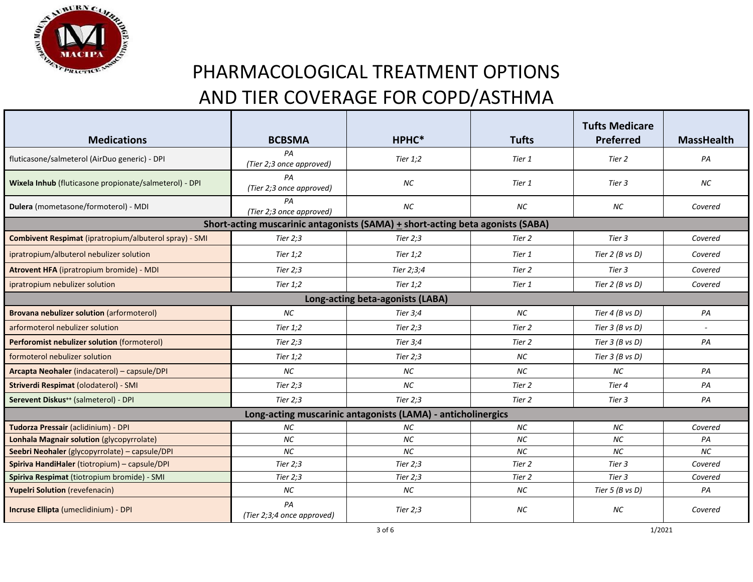

|                                                              |                                  |                                                                                |              | <b>Tufts Medicare</b>     |                   |  |  |
|--------------------------------------------------------------|----------------------------------|--------------------------------------------------------------------------------|--------------|---------------------------|-------------------|--|--|
| <b>Medications</b>                                           | <b>BCBSMA</b>                    | HPHC*                                                                          | <b>Tufts</b> | <b>Preferred</b>          | <b>MassHealth</b> |  |  |
| fluticasone/salmeterol (AirDuo generic) - DPI                | PА<br>(Tier 2;3 once approved)   | Tier $1,2$                                                                     | Tier 1       | Tier 2                    | PA                |  |  |
| Wixela Inhub (fluticasone propionate/salmeterol) - DPI       | PA<br>(Tier 2;3 once approved)   | <b>NC</b>                                                                      | Tier 1       | Tier 3                    | <b>NC</b>         |  |  |
| Dulera (mometasone/formoterol) - MDI                         | PA<br>(Tier 2;3 once approved)   | <b>NC</b>                                                                      | <b>NC</b>    | NС                        | Covered           |  |  |
|                                                              |                                  | Short-acting muscarinic antagonists (SAMA) + short-acting beta agonists (SABA) |              |                           |                   |  |  |
| Combivent Respimat (ipratropium/albuterol spray) - SMI       | Tier 2;3                         | Tier 2;3                                                                       | Tier 2       | Tier 3                    | Covered           |  |  |
| ipratropium/albuterol nebulizer solution                     | Tier 1;2                         | Tier 1;2                                                                       | Tier 1       | Tier $2$ (B vs D)         | Covered           |  |  |
| Atrovent HFA (ipratropium bromide) - MDI                     | Tier $2;3$                       | Tier 2;3;4                                                                     | Tier 2       | Tier 3                    | Covered           |  |  |
| ipratropium nebulizer solution                               | Tier $1,2$                       | Tier $1,2$                                                                     | Tier 1       | Tier $2$ (B vs D)         | Covered           |  |  |
|                                                              |                                  | Long-acting beta-agonists (LABA)                                               |              |                           |                   |  |  |
| Brovana nebulizer solution (arformoterol)                    | <b>NC</b>                        | Tier 3;4                                                                       | <b>NC</b>    | Tier $4$ (B vs D)         | PA                |  |  |
| arformoterol nebulizer solution                              | Tier $1:2$                       | Tier 2;3                                                                       | Tier 2       | Tier $3$ (B vs D)         |                   |  |  |
| Perforomist nebulizer solution (formoterol)                  | Tier 2;3                         | Tier 3;4                                                                       | Tier 2       | Tier $3$ (B vs D)         | PA                |  |  |
| formoterol nebulizer solution                                | Tier 1;2                         | Tier 2;3                                                                       | <b>NC</b>    | Tier $3$ (B vs D)         |                   |  |  |
| Arcapta Neohaler (indacaterol) - capsule/DPI                 | <b>NC</b>                        | <b>NC</b>                                                                      | <b>NC</b>    | <b>NC</b>                 | PA                |  |  |
| Striverdi Respimat (olodaterol) - SMI                        | Tier $2:3$                       | NC                                                                             | Tier 2       | Tier 4                    | PA                |  |  |
| Serevent Diskus <sup>++</sup> (salmeterol) - DPI             | Tier 2;3                         | Tier 2;3                                                                       | Tier 2       | Tier 3                    | PA                |  |  |
| Long-acting muscarinic antagonists (LAMA) - anticholinergics |                                  |                                                                                |              |                           |                   |  |  |
| Tudorza Pressair (aclidinium) - DPI                          | NC                               | <b>NC</b>                                                                      | <b>NC</b>    | <b>NC</b>                 | Covered           |  |  |
| Lonhala Magnair solution (glycopyrrolate)                    | NC                               | <b>NC</b>                                                                      | NC           | <b>NC</b>                 | PA                |  |  |
| Seebri Neohaler (glycopyrrolate) - capsule/DPI               | <b>NC</b>                        | NC                                                                             | NC           | <b>NC</b>                 | <b>NC</b>         |  |  |
| Spiriva HandiHaler (tiotropium) - capsule/DPI                | Tier 2;3                         | Tier 2;3                                                                       | Tier 2       | Tier 3                    | Covered           |  |  |
| Spiriva Respimat (tiotropium bromide) - SMI                  | Tier $2;3$                       | Tier $2:3$                                                                     | Tier 2       | Tier 3                    | Covered           |  |  |
| <b>Yupelri Solution</b> (revefenacin)                        | <b>NC</b>                        | <b>NC</b>                                                                      | <b>NC</b>    | Tier $5(B \text{ vs } D)$ | PA                |  |  |
| Incruse Ellipta (umeclidinium) - DPI                         | PA<br>(Tier 2;3;4 once approved) | Tier $2;3$                                                                     | <b>NC</b>    | <b>NC</b>                 | Covered           |  |  |

 $3$  of 6 1/2021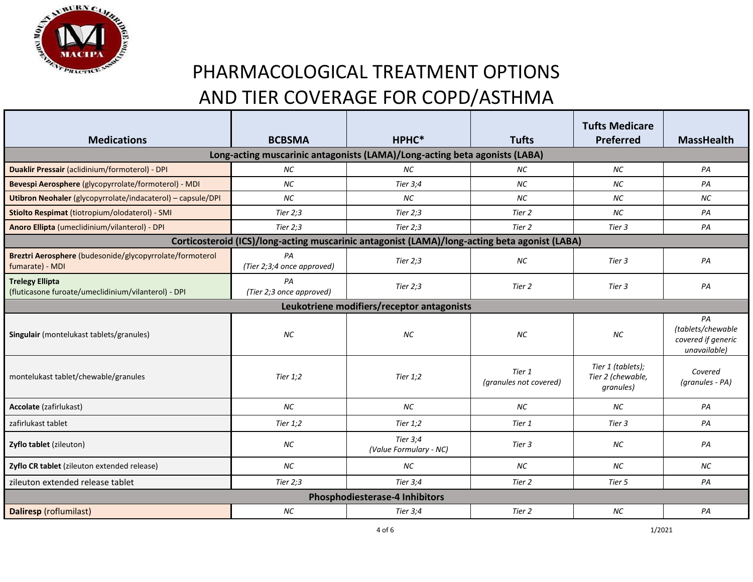

| <b>Medications</b>                                                            | <b>BCBSMA</b>                    | HPHC*                                                                                         | <b>Tufts</b>                     | <b>Tufts Medicare</b><br><b>Preferred</b>           | <b>MassHealth</b>                                             |  |  |
|-------------------------------------------------------------------------------|----------------------------------|-----------------------------------------------------------------------------------------------|----------------------------------|-----------------------------------------------------|---------------------------------------------------------------|--|--|
|                                                                               |                                  |                                                                                               |                                  |                                                     |                                                               |  |  |
| Long-acting muscarinic antagonists (LAMA)/Long-acting beta agonists (LABA)    |                                  |                                                                                               |                                  |                                                     |                                                               |  |  |
| Duaklir Pressair (aclidinium/formoterol) - DPI                                | <b>NC</b>                        | <b>NC</b>                                                                                     | <b>NC</b>                        | <b>NC</b>                                           | PA                                                            |  |  |
| Bevespi Aerosphere (glycopyrrolate/formoterol) - MDI                          | <b>NC</b>                        | Tier 3:4                                                                                      | <b>NC</b>                        | <b>NC</b>                                           | PA                                                            |  |  |
| Utibron Neohaler (glycopyrrolate/indacaterol) - capsule/DPI                   | <b>NC</b>                        | <b>NC</b>                                                                                     | <b>NC</b>                        | <b>NC</b>                                           | <b>NC</b>                                                     |  |  |
| Stiolto Respimat (tiotropium/olodaterol) - SMI                                | Tier $2:3$                       | Tier $2:3$                                                                                    | Tier 2                           | <b>NC</b>                                           | PA                                                            |  |  |
| Anoro Ellipta (umeclidinium/vilanterol) - DPI                                 | Tier $2:3$                       | Tier $2:3$                                                                                    | Tier 2                           | Tier 3                                              | PA                                                            |  |  |
|                                                                               |                                  | Corticosteroid (ICS)/long-acting muscarinic antagonist (LAMA)/long-acting beta agonist (LABA) |                                  |                                                     |                                                               |  |  |
| Breztri Aerosphere (budesonide/glycopyrrolate/formoterol<br>fumarate) - MDI   | PA<br>(Tier 2;3;4 once approved) | Tier $2:3$                                                                                    | NC                               | Tier 3                                              | PA                                                            |  |  |
| <b>Trelegy Ellipta</b><br>(fluticasone furoate/umeclidinium/vilanterol) - DPI | PA<br>(Tier 2;3 once approved)   | Tier 2;3                                                                                      | Tier 2                           | Tier 3                                              | PA                                                            |  |  |
| Leukotriene modifiers/receptor antagonists                                    |                                  |                                                                                               |                                  |                                                     |                                                               |  |  |
| Singulair (montelukast tablets/granules)                                      | <b>NC</b>                        | <b>NC</b>                                                                                     | <b>NC</b>                        | <b>NC</b>                                           | PA<br>(tablets/chewable<br>covered if generic<br>unavailable) |  |  |
| montelukast tablet/chewable/granules                                          | Tier $1,2$                       | Tier $1,2$                                                                                    | Tier 1<br>(granules not covered) | Tier 1 (tablets);<br>Tier 2 (chewable,<br>granules) | Covered<br>(granules - PA)                                    |  |  |
| Accolate (zafirlukast)                                                        | <b>NC</b>                        | <b>NC</b>                                                                                     | <b>NC</b>                        | <b>NC</b>                                           | PA                                                            |  |  |
| zafirlukast tablet                                                            | Tier 1;2                         | Tier $1,2$                                                                                    | Tier 1                           | Tier 3                                              | PA                                                            |  |  |
| Zyflo tablet (zileuton)                                                       | NC                               | Tier 3;4<br>(Value Formulary - NC)                                                            | Tier 3                           | <b>NC</b>                                           | PA                                                            |  |  |
| Zyflo CR tablet (zileuton extended release)                                   | <b>NC</b>                        | <b>NC</b>                                                                                     | <b>NC</b>                        | <b>NC</b>                                           | <b>NC</b>                                                     |  |  |
| zileuton extended release tablet                                              | Tier $2:3$                       | Tier 3;4                                                                                      | Tier 2                           | Tier 5                                              | PA                                                            |  |  |
| <b>Phosphodiesterase-4 Inhibitors</b>                                         |                                  |                                                                                               |                                  |                                                     |                                                               |  |  |
| Daliresp (roflumilast)                                                        | <b>NC</b>                        | Tier 3;4                                                                                      | Tier 2                           | <b>NC</b>                                           | PA                                                            |  |  |